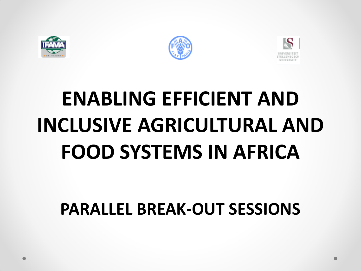





## **ENABLING EFFICIENT AND INCLUSIVE AGRICULTURAL AND FOOD SYSTEMS IN AFRICA**

## **PARALLEL BREAK-OUT SESSIONS**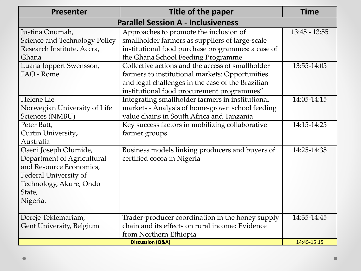| <b>Presenter</b>                                                                                                                                         | Title of the paper                                                                                                                                                                                                                           | <b>Time</b>     |  |
|----------------------------------------------------------------------------------------------------------------------------------------------------------|----------------------------------------------------------------------------------------------------------------------------------------------------------------------------------------------------------------------------------------------|-----------------|--|
| <b>Parallel Session A - Inclusiveness</b>                                                                                                                |                                                                                                                                                                                                                                              |                 |  |
| Justina Onumah,<br>Science and Technology Policy<br>Research Institute, Accra,                                                                           | Approaches to promote the inclusion of<br>smallholder farmers as suppliers of large-scale<br>institutional food purchase programmes: a case of                                                                                               | $13:45 - 13:55$ |  |
| Ghana<br>Luana Joppert Swensson,<br>FAO - Rome                                                                                                           | the Ghana School Feeding Programme<br>Collective actions and the access of smallholder<br>farmers to institutional markets: Opportunities<br>and legal challenges in the case of the Brazilian<br>institutional food procurement programmes" | 13:55-14:05     |  |
| Helene Lie<br>Norwegian University of Life<br>Sciences (NMBU)                                                                                            | Integrating smallholder farmers in institutional<br>markets - Analysis of home-grown school feeding<br>value chains in South Africa and Tanzania                                                                                             | 14:05-14:15     |  |
| Peter Batt,<br>Curtin University,<br>Australia                                                                                                           | Key success factors in mobilizing collaborative<br>farmer groups                                                                                                                                                                             | 14:15-14:25     |  |
| Oseni Joseph Olumide,<br>Department of Agricultural<br>and Resource Economics,<br>Federal University of<br>Technology, Akure, Ondo<br>State,<br>Nigeria. | Business models linking producers and buyers of<br>certified cocoa in Nigeria                                                                                                                                                                | 14:25-14:35     |  |
| Dereje Teklemariam,<br>Gent University, Belgium                                                                                                          | Trader-producer coordination in the honey supply<br>chain and its effects on rural income: Evidence<br>from Northern Ethiopia                                                                                                                | 14:35-14:45     |  |
| <b>Discussion (Q&amp;A)</b>                                                                                                                              |                                                                                                                                                                                                                                              | 14:45-15:15     |  |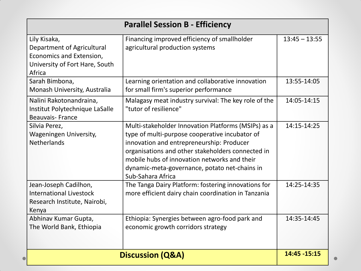| <b>Parallel Session B - Efficiency</b>                                                                             |                                                                                                                                                                                                                                                                                                                               |                 |  |
|--------------------------------------------------------------------------------------------------------------------|-------------------------------------------------------------------------------------------------------------------------------------------------------------------------------------------------------------------------------------------------------------------------------------------------------------------------------|-----------------|--|
| Lily Kisaka,<br>Department of Agricultural<br>Economics and Extension,<br>University of Fort Hare, South<br>Africa | Financing improved efficiency of smallholder<br>agricultural production systems                                                                                                                                                                                                                                               | $13:45 - 13:55$ |  |
| Sarah Bimbona,<br>Monash University, Australia                                                                     | Learning orientation and collaborative innovation<br>for small firm's superior performance                                                                                                                                                                                                                                    | 13:55-14:05     |  |
| Nalini Rakotonandraina,<br>Institut Polytechnique LaSalle<br><b>Beauvais-France</b>                                | Malagasy meat industry survival: The key role of the<br>"tutor of resilience"                                                                                                                                                                                                                                                 | 14:05-14:15     |  |
| Silvia Perez,<br>Wageningen University,<br><b>Netherlands</b>                                                      | Multi-stakeholder Innovation Platforms (MSIPs) as a<br>type of multi-purpose cooperative incubator of<br>innovation and entrepreneurship: Producer<br>organisations and other stakeholders connected in<br>mobile hubs of innovation networks and their<br>dynamic-meta-governance, potato net-chains in<br>Sub-Sahara Africa | 14:15-14:25     |  |
| Jean-Joseph Cadilhon,<br><b>International Livestock</b><br>Research Institute, Nairobi,<br>Kenya                   | The Tanga Dairy Platform: fostering innovations for<br>more efficient dairy chain coordination in Tanzania                                                                                                                                                                                                                    | 14:25-14:35     |  |
| Abhinav Kumar Gupta,<br>The World Bank, Ethiopia                                                                   | Ethiopia: Synergies between agro-food park and<br>economic growth corridors strategy                                                                                                                                                                                                                                          | 14:35-14:45     |  |
| <b>Discussion (Q&amp;A)</b>                                                                                        | 14:45 - 15:15                                                                                                                                                                                                                                                                                                                 |                 |  |